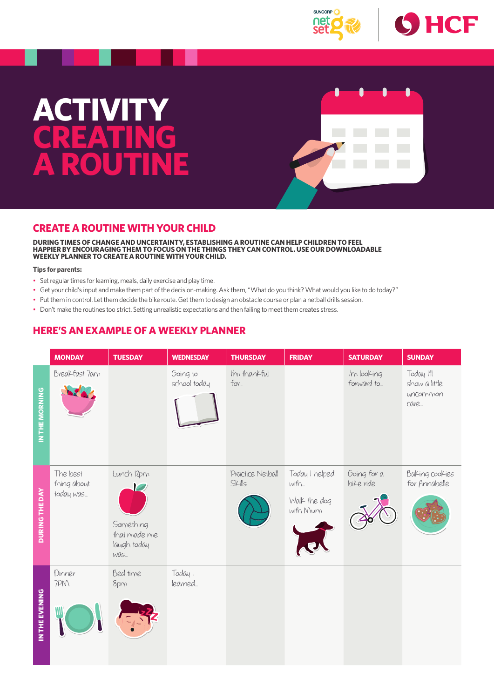

## **ACTIVITY CREATING A ROUTINE**



### **CREATE A ROUTINE WITH YOUR CHILD**

**DURING TIMES OF CHANGE AND UNCERTAINTY, ESTABLISHING A ROUTINE CAN HELP CHILDREN TO FEEL HAPPIER BY ENCOURAGING THEM TO FOCUS ON THE THINGS THEY CAN CONTROL. USE OUR DOWNLOADABLE WEEKLY PLANNER TO CREATE A ROUTINE WITH YOUR CHILD.**

#### **Tips for parents:**

- Set regular times for learning, meals, daily exercise and play time.
- Get your child's input and make them part of the decision-making. Ask them, "What do you think? What would you like to do today?"
- Put them in control. Let them decide the bike route. Get them to design an obstacle course or plan a netball drills session.
- Don't make the routines too strict. Setting unrealistic expectations and then failing to meet them creates stress.

## **HERE'S AN EXAMPLE OF A WEEKLY PLANNER**

|                       | <b>MONDAY</b>                        | <b>TUESDAY</b>                                                | <b>WEDNESDAY</b>         | <b>THURSDAY</b>            | <b>FRIDAY</b>                                      | <b>SATURDAY</b>           | <b>SUNDAY</b>                                   |
|-----------------------|--------------------------------------|---------------------------------------------------------------|--------------------------|----------------------------|----------------------------------------------------|---------------------------|-------------------------------------------------|
| IN THE MORNING        | Breakfast 7am                        |                                                               | Going to<br>school today | I'm thankful<br>$fov$      |                                                    | I'm looking<br>forward to | Today I'll<br>show a little<br>uncommon<br>cave |
| <b>DURING THE DAY</b> | The best<br>thing about<br>today was | Lunch I2pm<br>Something<br>that made me<br>laugh today<br>WAS |                          | Pvactice Netball<br>Skills | Today I helped<br>with<br>Walk the dog<br>with Mum | Going for a<br>bike vide  | Baking cookies<br>for Annabelle                 |
| IN THE EVENING        | Dinner<br>7PM                        | Bed time<br><b>Spm</b>                                        | Today I<br>leavned       |                            |                                                    |                           |                                                 |